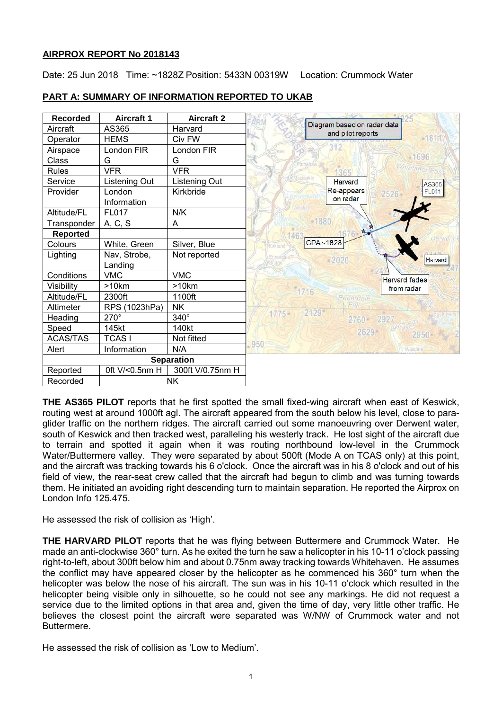# **AIRPROX REPORT No 2018143**

Date: 25 Jun 2018 Time: ~1828Z Position: 5433N 00319W Location: Crummock Water

| <b>Recorded</b>   | <b>Aircraft 1</b>       | <b>Aircraft 2</b> |              |                                                  |                          |
|-------------------|-------------------------|-------------------|--------------|--------------------------------------------------|--------------------------|
| Aircraft          | AS365                   | Harvard           |              | Diagram based on radar data<br>and pilot reports |                          |
| Operator          | <b>HEMS</b>             | Civ FW            |              |                                                  | $-1811$                  |
| Airspace          | London FIR              | London FIR        |              | 312                                              |                          |
| Class             | G                       | G                 |              |                                                  | $-1696$                  |
| <b>Rules</b>      | <b>VFR</b>              | <b>VFR</b>        | <b>Difoc</b> | 1365                                             | Whinlatter Pa            |
| Service           | Listening Out           | Listening Out     |              | ockerkin<br>Harvard                              | AS365                    |
| Provider          | London<br>Information   | Kirkbride         |              | Re-appears<br>on radar                           | <b>FL011</b><br>$2526 -$ |
| Altitude/FL       | <b>FL017</b>            | N/K               |              |                                                  |                          |
| Transponder       | A, C, S                 | A                 |              | 1880                                             |                          |
| <b>Reported</b>   |                         |                   |              |                                                  |                          |
| Colours           | White, Green            | Silver, Blue      | Kirkland     | CPA~1828                                         |                          |
| Lighting          | Nav, Strobe,<br>Landing | Not reported      |              | 2020                                             | Harvard                  |
| Conditions        | <b>VMC</b>              | <b>VMC</b>        |              |                                                  | <b>Harvard</b> fades     |
| Visibility        | >10km                   | >10km             |              |                                                  | from radar               |
| Altitude/FL       | 2300ft                  | 1100ft            |              | 1716<br>Ennerdale                                |                          |
| Altimeter         | RPS (1023hPa)           | <b>NK</b>         |              | Fell                                             |                          |
| Heading           | $270^\circ$             | 340°              | $1775 -$     | 2129<br>2927<br>2760                             | Sail                     |
| Speed             | 145kt                   | 140kt             |              | 2629                                             |                          |
| <b>ACAS/TAS</b>   | <b>TCASI</b>            | Not fitted        |              |                                                  | $2950 -$                 |
| Alert             | Information             | N/A               | 950          |                                                  | Wasdale                  |
| <b>Separation</b> |                         |                   |              |                                                  |                          |
| Reported          | 0ft V/<0.5nm H          | 300ft V/0.75nm H  |              |                                                  |                          |
| Recorded          | <b>NK</b>               |                   |              |                                                  |                          |

# **PART A: SUMMARY OF INFORMATION REPORTED TO UKAB**

**THE AS365 PILOT** reports that he first spotted the small fixed-wing aircraft when east of Keswick, routing west at around 1000ft agl. The aircraft appeared from the south below his level, close to paraglider traffic on the northern ridges. The aircraft carried out some manoeuvring over Derwent water, south of Keswick and then tracked west, paralleling his westerly track. He lost sight of the aircraft due to terrain and spotted it again when it was routing northbound low-level in the Crummock Water/Buttermere valley. They were separated by about 500ft (Mode A on TCAS only) at this point, and the aircraft was tracking towards his 6 o'clock. Once the aircraft was in his 8 o'clock and out of his field of view, the rear-seat crew called that the aircraft had begun to climb and was turning towards them. He initiated an avoiding right descending turn to maintain separation. He reported the Airprox on London Info 125.475.

He assessed the risk of collision as 'High'.

**THE HARVARD PILOT** reports that he was flying between Buttermere and Crummock Water. He made an anti-clockwise 360° turn. As he exited the turn he saw a helicopter in his 10-11 o'clock passing right-to-left, about 300ft below him and about 0.75nm away tracking towards Whitehaven. He assumes the conflict may have appeared closer by the helicopter as he commenced his 360° turn when the helicopter was below the nose of his aircraft. The sun was in his 10-11 o'clock which resulted in the helicopter being visible only in silhouette, so he could not see any markings. He did not request a service due to the limited options in that area and, given the time of day, very little other traffic. He believes the closest point the aircraft were separated was W/NW of Crummock water and not Buttermere.

He assessed the risk of collision as 'Low to Medium'.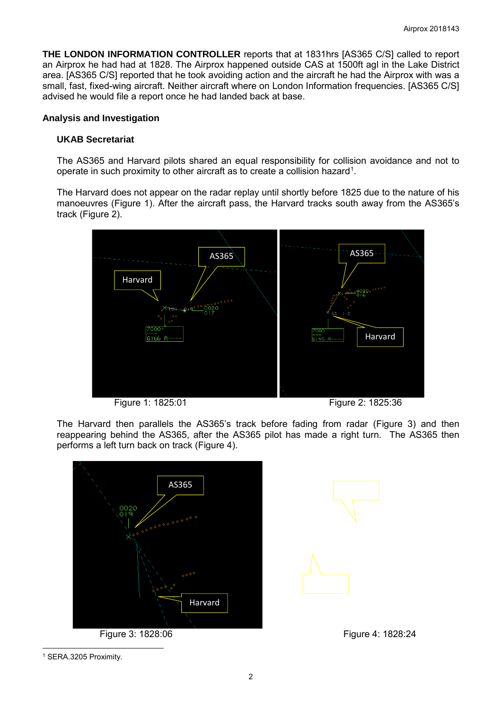**THE LONDON INFORMATION CONTROLLER** reports that at 1831hrs [AS365 C/S] called to report an Airprox he had had at 1828. The Airprox happened outside CAS at 1500ft agl in the Lake District area. [AS365 C/S] reported that he took avoiding action and the aircraft he had the Airprox with was a small, fast, fixed-wing aircraft. Neither aircraft where on London Information frequencies. [AS365 C/S] advised he would file a report once he had landed back at base.

### **Analysis and Investigation**

## **UKAB Secretariat**

The AS365 and Harvard pilots shared an equal responsibility for collision avoidance and not to operate in such proximity to other aircraft as to create a collision hazard<sup>[1](#page-1-0)</sup>.

The Harvard does not appear on the radar replay until shortly before 1825 due to the nature of his manoeuvres (Figure 1). After the aircraft pass, the Harvard tracks south away from the AS365's track (Figure 2).



Figure 1: 1825:01 Figure 2: 1825:36

The Harvard then parallels the AS365's track before fading from radar (Figure 3) and then reappearing behind the AS365, after the AS365 pilot has made a right turn. The AS365 then performs a left turn back on track (Figure 4).





<span id="page-1-0"></span><sup>1</sup> SERA.3205 Proximity.

 $\overline{\phantom{a}}$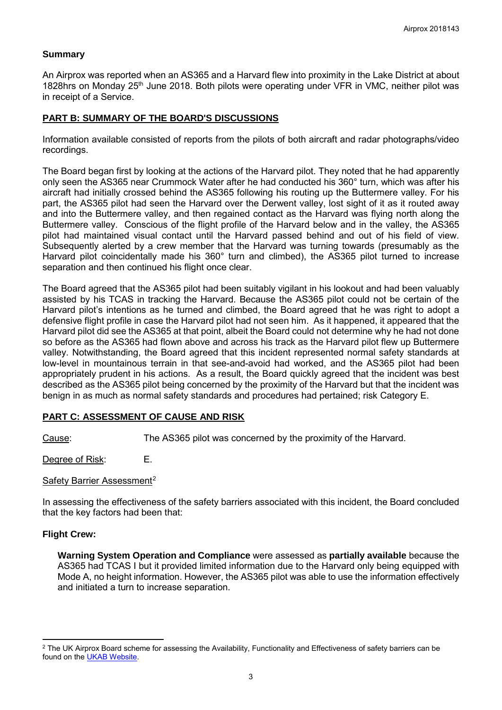## **Summary**

An Airprox was reported when an AS365 and a Harvard flew into proximity in the Lake District at about 1828hrs on Monday 25<sup>th</sup> June 2018. Both pilots were operating under VFR in VMC, neither pilot was in receipt of a Service.

## **PART B: SUMMARY OF THE BOARD'S DISCUSSIONS**

Information available consisted of reports from the pilots of both aircraft and radar photographs/video recordings.

The Board began first by looking at the actions of the Harvard pilot. They noted that he had apparently only seen the AS365 near Crummock Water after he had conducted his 360° turn, which was after his aircraft had initially crossed behind the AS365 following his routing up the Buttermere valley. For his part, the AS365 pilot had seen the Harvard over the Derwent valley, lost sight of it as it routed away and into the Buttermere valley, and then regained contact as the Harvard was flying north along the Buttermere valley. Conscious of the flight profile of the Harvard below and in the valley, the AS365 pilot had maintained visual contact until the Harvard passed behind and out of his field of view. Subsequently alerted by a crew member that the Harvard was turning towards (presumably as the Harvard pilot coincidentally made his 360° turn and climbed), the AS365 pilot turned to increase separation and then continued his flight once clear.

The Board agreed that the AS365 pilot had been suitably vigilant in his lookout and had been valuably assisted by his TCAS in tracking the Harvard. Because the AS365 pilot could not be certain of the Harvard pilot's intentions as he turned and climbed, the Board agreed that he was right to adopt a defensive flight profile in case the Harvard pilot had not seen him. As it happened, it appeared that the Harvard pilot did see the AS365 at that point, albeit the Board could not determine why he had not done so before as the AS365 had flown above and across his track as the Harvard pilot flew up Buttermere valley. Notwithstanding, the Board agreed that this incident represented normal safety standards at low-level in mountainous terrain in that see-and-avoid had worked, and the AS365 pilot had been appropriately prudent in his actions. As a result, the Board quickly agreed that the incident was best described as the AS365 pilot being concerned by the proximity of the Harvard but that the incident was benign in as much as normal safety standards and procedures had pertained; risk Category E.

# **PART C: ASSESSMENT OF CAUSE AND RISK**

Cause: The AS365 pilot was concerned by the proximity of the Harvard.

Degree of Risk: E.

### Safety Barrier Assessment<sup>[2](#page-2-0)</sup>

In assessing the effectiveness of the safety barriers associated with this incident, the Board concluded that the key factors had been that:

### **Flight Crew:**

l

**Warning System Operation and Compliance** were assessed as **partially available** because the AS365 had TCAS I but it provided limited information due to the Harvard only being equipped with Mode A, no height information. However, the AS365 pilot was able to use the information effectively and initiated a turn to increase separation.

<span id="page-2-0"></span><sup>&</sup>lt;sup>2</sup> The UK Airprox Board scheme for assessing the Availability, Functionality and Effectiveness of safety barriers can be found on the [UKAB Website.](http://www.airproxboard.org.uk/Learn-more/Airprox-Barrier-Assessment/)